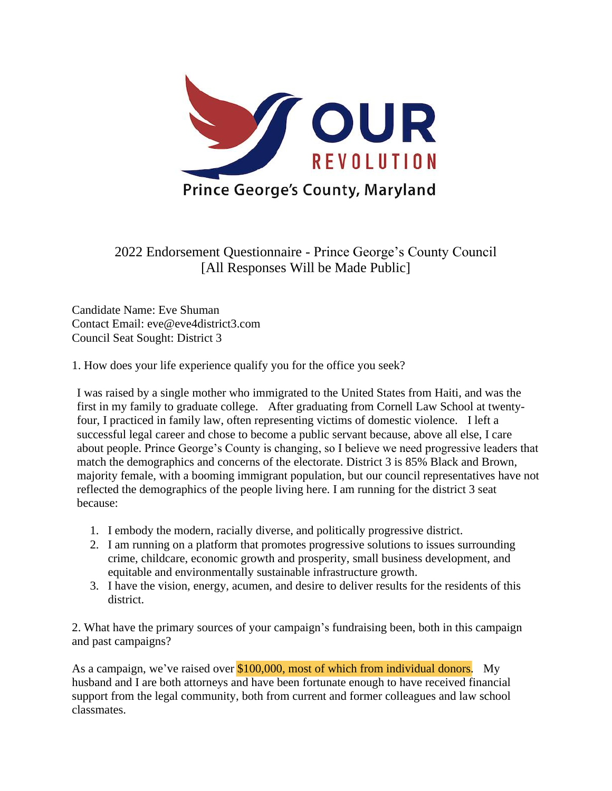

2022 Endorsement Questionnaire - Prince George's County Council [All Responses Will be Made Public]

Candidate Name: Eve Shuman Contact Email: eve@eve4district3.com Council Seat Sought: District 3

1. How does your life experience qualify you for the office you seek?

I was raised by a single mother who immigrated to the United States from Haiti, and was the first in my family to graduate college. After graduating from Cornell Law School at twentyfour, I practiced in family law, often representing victims of domestic violence. I left a successful legal career and chose to become a public servant because, above all else, I care about people. Prince George's County is changing, so I believe we need progressive leaders that match the demographics and concerns of the electorate. District 3 is 85% Black and Brown, majority female, with a booming immigrant population, but our council representatives have not reflected the demographics of the people living here. I am running for the district 3 seat because:

- 1. I embody the modern, racially diverse, and politically progressive district.
- 2. I am running on a platform that promotes progressive solutions to issues surrounding crime, childcare, economic growth and prosperity, small business development, and equitable and environmentally sustainable infrastructure growth.
- 3. I have the vision, energy, acumen, and desire to deliver results for the residents of this district.

2. What have the primary sources of your campaign's fundraising been, both in this campaign and past campaigns?

As a campaign, we've raised over \$100,000, most of which from individual donors. My husband and I are both attorneys and have been fortunate enough to have received financial support from the legal community, both from current and former colleagues and law school classmates.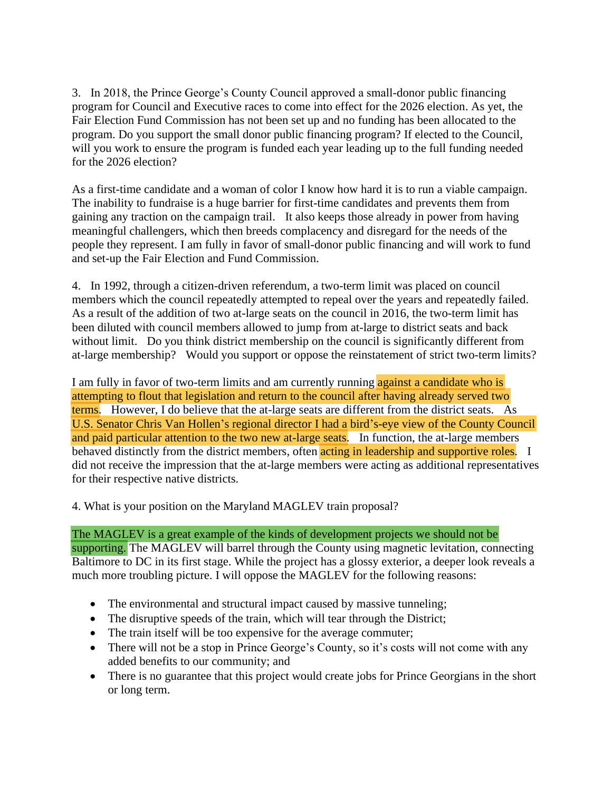3. In 2018, the Prince George's County Council approved a small-donor public financing program for Council and Executive races to come into effect for the 2026 election. As yet, the Fair Election Fund Commission has not been set up and no funding has been allocated to the program. Do you support the small donor public financing program? If elected to the Council, will you work to ensure the program is funded each year leading up to the full funding needed for the 2026 election?

As a first-time candidate and a woman of color I know how hard it is to run a viable campaign. The inability to fundraise is a huge barrier for first-time candidates and prevents them from gaining any traction on the campaign trail. It also keeps those already in power from having meaningful challengers, which then breeds complacency and disregard for the needs of the people they represent. I am fully in favor of small-donor public financing and will work to fund and set-up the Fair Election and Fund Commission.

4. In 1992, through a citizen-driven referendum, a two-term limit was placed on council members which the council repeatedly attempted to repeal over the years and repeatedly failed. As a result of the addition of two at-large seats on the council in 2016, the two-term limit has been diluted with council members allowed to jump from at-large to district seats and back without limit. Do you think district membership on the council is significantly different from at-large membership? Would you support or oppose the reinstatement of strict two-term limits?

I am fully in favor of two-term limits and am currently running against a candidate who is attempting to flout that legislation and return to the council after having already served two terms. However, I do believe that the at-large seats are different from the district seats. As U.S. Senator Chris Van Hollen's regional director I had a bird's-eye view of the County Council and paid particular attention to the two new at-large seats. In function, the at-large members behaved distinctly from the district members, often acting in leadership and supportive roles. I did not receive the impression that the at-large members were acting as additional representatives for their respective native districts.

4. What is your position on the Maryland MAGLEV train proposal?

## The MAGLEV is a great example of the kinds of development projects we should not be

supporting. The MAGLEV will barrel through the County using magnetic levitation, connecting Baltimore to DC in its first stage. While the project has a glossy exterior, a deeper look reveals a much more troubling picture. I will oppose the MAGLEV for the following reasons:

- The environmental and structural impact caused by massive tunneling;
- The disruptive speeds of the train, which will tear through the District;
- The train itself will be too expensive for the average commuter;
- There will not be a stop in Prince George's County, so it's costs will not come with any added benefits to our community; and
- There is no guarantee that this project would create jobs for Prince Georgians in the short or long term.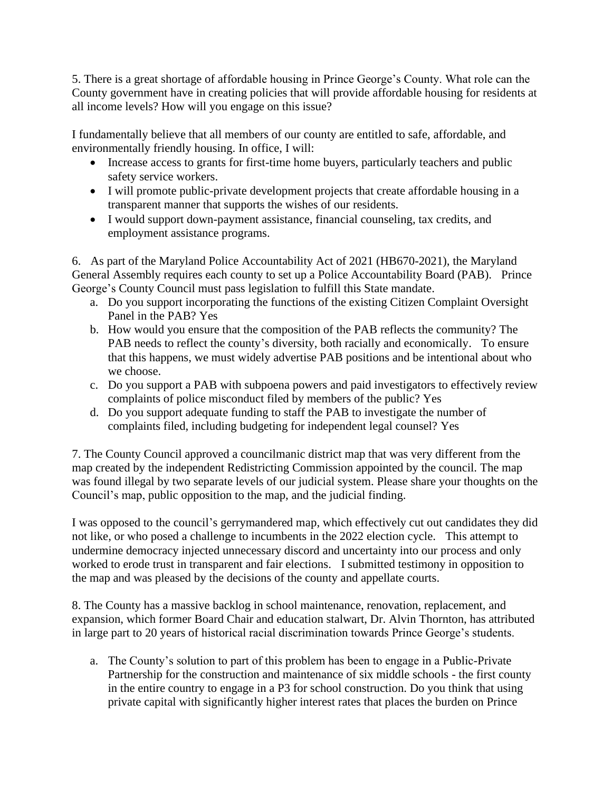5. There is a great shortage of affordable housing in Prince George's County. What role can the County government have in creating policies that will provide affordable housing for residents at all income levels? How will you engage on this issue?

I fundamentally believe that all members of our county are entitled to safe, affordable, and environmentally friendly housing. In office, I will:

- Increase access to grants for first-time home buyers, particularly teachers and public safety service workers.
- I will promote public-private development projects that create affordable housing in a transparent manner that supports the wishes of our residents.
- I would support down-payment assistance, financial counseling, tax credits, and employment assistance programs.

6. As part of the Maryland Police Accountability Act of 2021 (HB670-2021), the Maryland General Assembly requires each county to set up a Police Accountability Board (PAB). Prince George's County Council must pass legislation to fulfill this State mandate.

- a. Do you support incorporating the functions of the existing Citizen Complaint Oversight Panel in the PAB? Yes
- b. How would you ensure that the composition of the PAB reflects the community? The PAB needs to reflect the county's diversity, both racially and economically. To ensure that this happens, we must widely advertise PAB positions and be intentional about who we choose.
- c. Do you support a PAB with subpoena powers and paid investigators to effectively review complaints of police misconduct filed by members of the public? Yes
- d. Do you support adequate funding to staff the PAB to investigate the number of complaints filed, including budgeting for independent legal counsel? Yes

7. The County Council approved a councilmanic district map that was very different from the map created by the independent Redistricting Commission appointed by the council. The map was found illegal by two separate levels of our judicial system. Please share your thoughts on the Council's map, public opposition to the map, and the judicial finding.

I was opposed to the council's gerrymandered map, which effectively cut out candidates they did not like, or who posed a challenge to incumbents in the 2022 election cycle. This attempt to undermine democracy injected unnecessary discord and uncertainty into our process and only worked to erode trust in transparent and fair elections. I submitted testimony in opposition to the map and was pleased by the decisions of the county and appellate courts.

8. The County has a massive backlog in school maintenance, renovation, replacement, and expansion, which former Board Chair and education stalwart, Dr. Alvin Thornton, has attributed in large part to 20 years of historical racial discrimination towards Prince George's students.

a. The County's solution to part of this problem has been to engage in a Public-Private Partnership for the construction and maintenance of six middle schools - the first county in the entire country to engage in a P3 for school construction. Do you think that using private capital with significantly higher interest rates that places the burden on Prince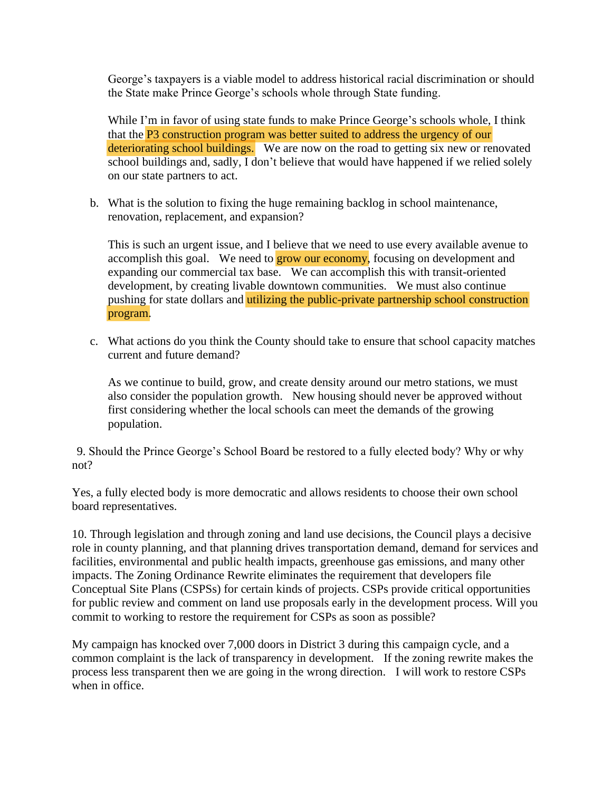George's taxpayers is a viable model to address historical racial discrimination or should the State make Prince George's schools whole through State funding.

While I'm in favor of using state funds to make Prince George's schools whole, I think that the P3 construction program was better suited to address the urgency of our deteriorating school buildings. We are now on the road to getting six new or renovated school buildings and, sadly, I don't believe that would have happened if we relied solely on our state partners to act.

b. What is the solution to fixing the huge remaining backlog in school maintenance, renovation, replacement, and expansion?

This is such an urgent issue, and I believe that we need to use every available avenue to accomplish this goal. We need to **grow our economy**, focusing on development and expanding our commercial tax base. We can accomplish this with transit-oriented development, by creating livable downtown communities. We must also continue pushing for state dollars and utilizing the public-private partnership school construction program.

c. What actions do you think the County should take to ensure that school capacity matches current and future demand?

As we continue to build, grow, and create density around our metro stations, we must also consider the population growth. New housing should never be approved without first considering whether the local schools can meet the demands of the growing population.

9. Should the Prince George's School Board be restored to a fully elected body? Why or why not?

Yes, a fully elected body is more democratic and allows residents to choose their own school board representatives.

10. Through legislation and through zoning and land use decisions, the Council plays a decisive role in county planning, and that planning drives transportation demand, demand for services and facilities, environmental and public health impacts, greenhouse gas emissions, and many other impacts. The Zoning Ordinance Rewrite eliminates the requirement that developers file Conceptual Site Plans (CSPSs) for certain kinds of projects. CSPs provide critical opportunities for public review and comment on land use proposals early in the development process. Will you commit to working to restore the requirement for CSPs as soon as possible?

My campaign has knocked over 7,000 doors in District 3 during this campaign cycle, and a common complaint is the lack of transparency in development. If the zoning rewrite makes the process less transparent then we are going in the wrong direction. I will work to restore CSPs when in office.